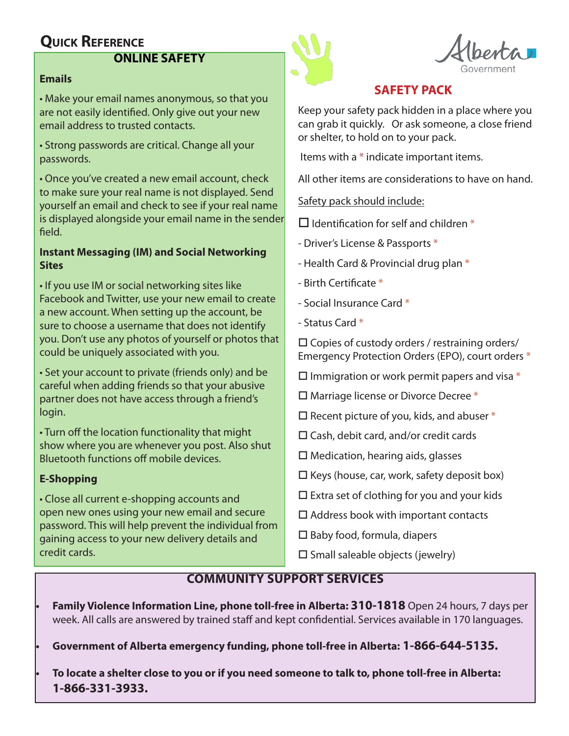# **Quick Reference**

## **ONLINE SAFETY**

#### **Emails**

• Make your email names anonymous, so that you are not easily identified. Only give out your new email address to trusted contacts.

• Strong passwords are critical. Change all your passwords.

• Once you've created a new email account, check to make sure your real name is not displayed. Send yourself an email and check to see if your real name is displayed alongside your email name in the sender field.

#### **Instant Messaging (IM) and Social Networking Sites**

• If you use IM or social networking sites like Facebook and Twitter, use your new email to create a new account. When setting up the account, be sure to choose a username that does not identify you. Don't use any photos of yourself or photos that could be uniquely associated with you.

• Set your account to private (friends only) and be careful when adding friends so that your abusive partner does not have access through a friend's login.

• Turn off the location functionality that might show where you are whenever you post. Also shut Bluetooth functions off mobile devices.

#### **E-Shopping**

• Close all current e-shopping accounts and open new ones using your new email and secure password. This will help prevent the individual from gaining access to your new delivery details and credit cards.



# **SAFETY PACK**

Keep your safety pack hidden in a place where you can grab it quickly. Or ask someone, a close friend or shelter, to hold on to your pack.

Items with a \* indicate important items.

All other items are considerations to have on hand.

Safety pack should include:

 $\Box$  Identification for self and children  $*$ 

- Driver's License & Passports \*

- Health Card & Provincial drug plan \*
- $-$  Birth Certificate  $*$
- Social Insurance Card \*
- Status Card \*

 $\square$  Copies of custody orders / restraining orders/ Emergency Protection Orders (EPO), court orders \*

 $\square$  Immigration or work permit papers and visa  $*$ 

- $\Box$  Marriage license or Divorce Decree  $*$
- $\square$  Recent picture of you, kids, and abuser  $*$
- $\square$  Cash, debit card, and/or credit cards
- $\Box$  Medication, hearing aids, glasses
- $\Box$  Keys (house, car, work, safety deposit box)
- $\square$  Extra set of clothing for you and your kids
- $\square$  Address book with important contacts
- $\square$  Baby food, formula, diapers
- $\square$  Small saleable objects (jewelry)

# **COMMUNITY SUPPORT SERVICES**

**Family Violence Information Line, phone toll-free in Alberta: 310-1818** Open 24 hours, 7 days per week. All calls are answered by trained staff and kept confidential. Services available in 170 languages.

Government of Alberta emergency funding, phone toll-free in Alberta: 1-866-644-5135.

To locate a shelter close to you or if you need someone to talk to, phone toll-free in Alberta: **1-866-331-3933.**